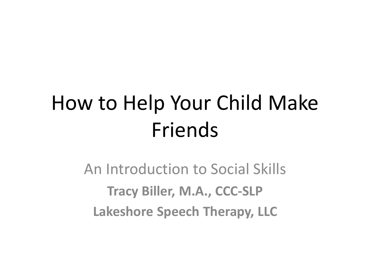## How to Help Your Child Make Friends

An Introduction to Social Skills **Tracy Biller, M.A., CCC-SLP Lakeshore Speech Therapy, LLC**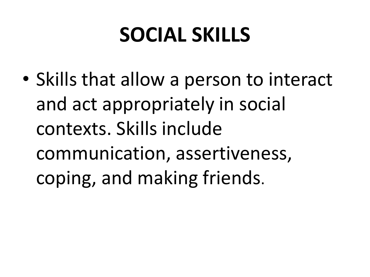### **SOCIAL SKILLS**

• Skills that allow a person to interact and act appropriately in social contexts. Skills include communication, assertiveness, coping, and making friends.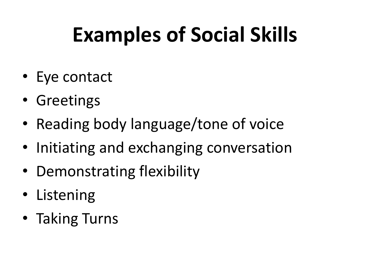# **Examples of Social Skills**

- Eye contact
- Greetings
- Reading body language/tone of voice
- Initiating and exchanging conversation
- Demonstrating flexibility
- Listening
- Taking Turns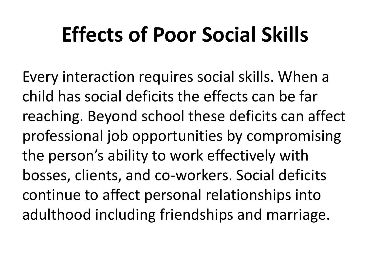### **Effects of Poor Social Skills**

Every interaction requires social skills. When a child has social deficits the effects can be far reaching. Beyond school these deficits can affect professional job opportunities by compromising the person's ability to work effectively with bosses, clients, and co-workers. Social deficits continue to affect personal relationships into adulthood including friendships and marriage.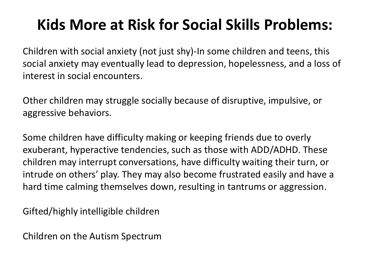#### **Kids More at Risk for Social Skills Problems:**

Children with social anxiety (not just shy)-In some children and teens, this social anxiety may eventually lead to depression, hopelessness, and a loss of interest in social encounters.

Other children may struggle socially because of disruptive, impulsive, or aggressive behaviors.

Some children have difficulty making or keeping friends due to overly exuberant, hyperactive tendencies, such as those with ADD/ADHD. These children may interrupt conversations, have difficulty waiting their turn, or intrude on others' play. They may also become frustrated easily and have a hard time calming themselves down, resulting in tantrums or aggression.

Gifted/highly intelligible children

Children on the Autism Spectrum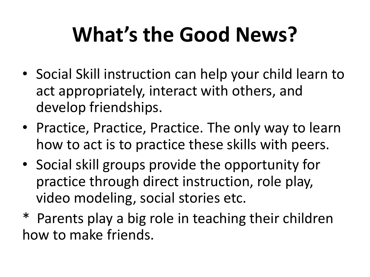# **What's the Good News?**

- Social Skill instruction can help your child learn to act appropriately, interact with others, and develop friendships.
- Practice, Practice, Practice. The only way to learn how to act is to practice these skills with peers.
- Social skill groups provide the opportunity for practice through direct instruction, role play, video modeling, social stories etc.
- \* Parents play a big role in teaching their children how to make friends.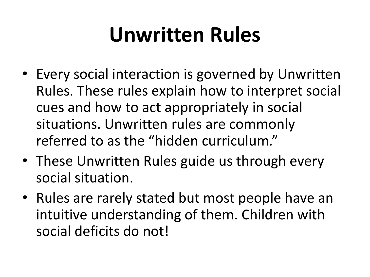### **Unwritten Rules**

- Every social interaction is governed by Unwritten Rules. These rules explain how to interpret social cues and how to act appropriately in social situations. Unwritten rules are commonly referred to as the "hidden curriculum."
- These Unwritten Rules guide us through every social situation.
- Rules are rarely stated but most people have an intuitive understanding of them. Children with social deficits do not!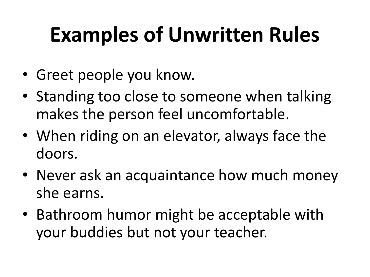# **Examples of Unwritten Rules**

- Greet people you know.
- Standing too close to someone when talking makes the person feel uncomfortable.
- When riding on an elevator, always face the doors.
- Never ask an acquaintance how much money she earns.
- Bathroom humor might be acceptable with your buddies but not your teacher.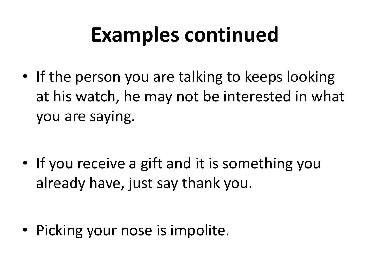## **Examples continued**

• If the person you are talking to keeps looking at his watch, he may not be interested in what you are saying.

• If you receive a gift and it is something you already have, just say thank you.

• Picking your nose is impolite.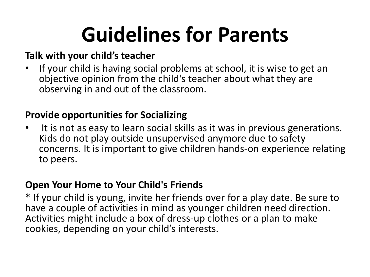## **Guidelines for Parents**

#### **Talk with your child's teacher**

• If your child is having social problems at school, it is wise to get an objective opinion from the child's teacher about what they are observing in and out of the classroom.

#### **Provide opportunities for Socializing**

• It is not as easy to learn social skills as it was in previous generations. Kids do not play outside unsupervised anymore due to safety concerns. It is important to give children hands-on experience relating to peers.

#### **Open Your Home to Your Child's Friends**

\* If your child is young, invite her friends over for a play date. Be sure to have a couple of activities in mind as younger children need direction. Activities might include a box of dress-up clothes or a plan to make cookies, depending on your child's interests.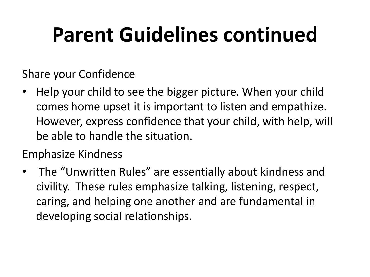## **Parent Guidelines continued**

Share your Confidence

• Help your child to see the bigger picture. When your child comes home upset it is important to listen and empathize. However, express confidence that your child, with help, will be able to handle the situation.

Emphasize Kindness

• The "Unwritten Rules" are essentially about kindness and civility. These rules emphasize talking, listening, respect, caring, and helping one another and are fundamental in developing social relationships.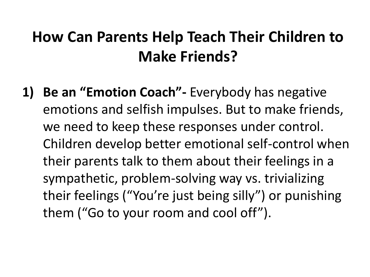#### **How Can Parents Help Teach Their Children to Make Friends?**

**1) Be an "Emotion Coach"-** Everybody has negative emotions and selfish impulses. But to make friends, we need to keep these responses under control. Children develop better emotional self-control when their parents talk to them about their feelings in a sympathetic, problem-solving way vs. trivializing their feelings ("You're just being silly") or punishing them ("Go to your room and cool off").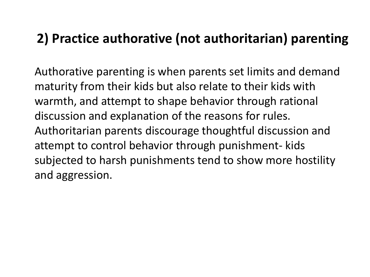#### **2) Practice authorative (not authoritarian) parenting**

Authorative parenting is when parents set limits and demand maturity from their kids but also relate to their kids with warmth, and attempt to shape behavior through rational discussion and explanation of the reasons for rules. Authoritarian parents discourage thoughtful discussion and attempt to control behavior through punishment- kids subjected to harsh punishments tend to show more hostility and aggression.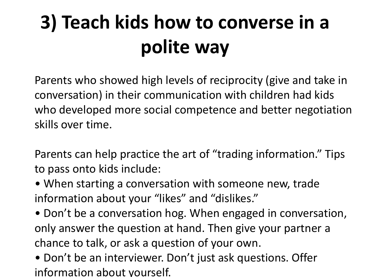## **3) Teach kids how to converse in a polite way**

Parents who showed high levels of reciprocity (give and take in conversation) in their communication with children had kids who developed more social competence and better negotiation skills over time.

Parents can help practice the art of "trading information." Tips to pass onto kids include:

- When starting a conversation with someone new, trade information about your "likes" and "dislikes."
- Don't be a conversation hog. When engaged in conversation, only answer the question at hand. Then give your partner a chance to talk, or ask a question of your own.
- Don't be an interviewer. Don't just ask questions. Offer information about yourself.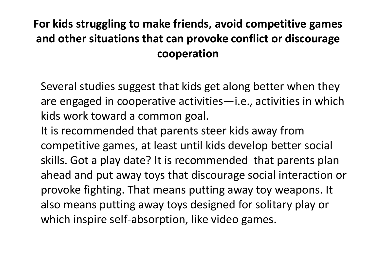#### **For kids struggling to make friends, avoid competitive games and other situations that can provoke conflict or discourage cooperation**

Several studies suggest that kids get along better when they are engaged in cooperative activities—i.e., activities in which kids work toward a common goal.

It is recommended that parents steer kids away from competitive games, at least until kids develop better social skills. Got a play date? It is recommended that parents plan ahead and put away toys that discourage social interaction or provoke fighting. That means putting away toy weapons. It also means putting away toys designed for solitary play or which inspire self-absorption, like video games.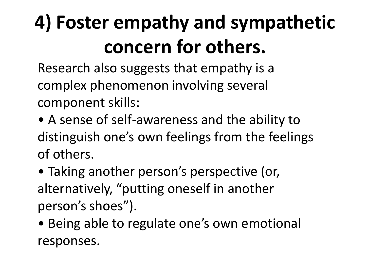### **4) Foster empathy and sympathetic concern for others.**

Research also suggests that empathy is a complex phenomenon involving several component skills:

- A sense of self-awareness and the ability to distinguish one's own feelings from the feelings of others.
- Taking another person's perspective (or, alternatively, "putting oneself in another person's shoes").
- Being able to regulate one's own emotional responses.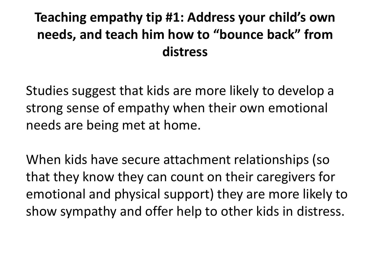#### **Teaching empathy tip #1: Address your child's own needs, and teach him how to "bounce back" from distress**

Studies suggest that kids are more likely to develop a strong sense of empathy when their own emotional needs are being met at home.

When kids have secure attachment relationships (so that they know they can count on their caregivers for emotional and physical support) they are more likely to show sympathy and offer help to other kids in distress.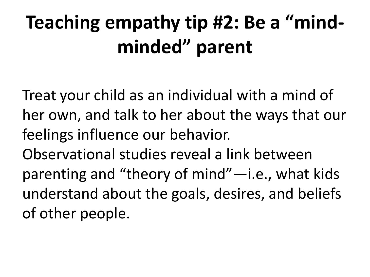#### **Teaching empathy tip #2: Be a "mindminded" parent**

Treat your child as an individual with a mind of her own, and talk to her about the ways that our feelings influence our behavior. Observational studies reveal a link between parenting and "theory of mind"—i.e., what kids understand about the goals, desires, and beliefs of other people.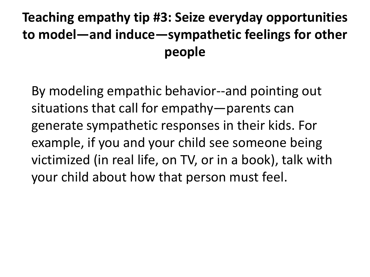#### **Teaching empathy tip #3: Seize everyday opportunities to model—and induce—sympathetic feelings for other people**

By modeling empathic behavior--and pointing out situations that call for empathy—parents can generate sympathetic responses in their kids. For example, if you and your child see someone being victimized (in real life, on TV, or in a book), talk with your child about how that person must feel.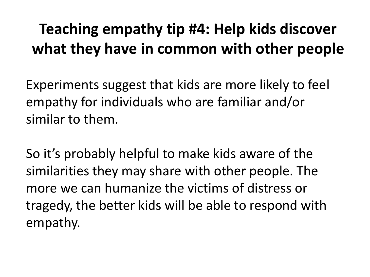#### **Teaching empathy tip #4: Help kids discover what they have in common with other people**

Experiments suggest that kids are more likely to feel empathy for individuals who are familiar and/or similar to them.

So it's probably helpful to make kids aware of the similarities they may share with other people. The more we can humanize the victims of distress or tragedy, the better kids will be able to respond with empathy.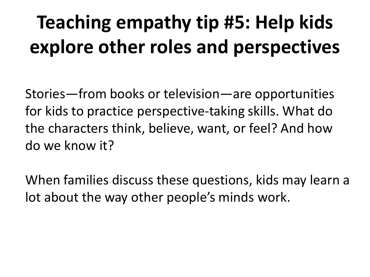### **Teaching empathy tip #5: Help kids explore other roles and perspectives**

Stories—from books or television—are opportunities for kids to practice perspective-taking skills. What do the characters think, believe, want, or feel? And how do we know it?

When families discuss these questions, kids may learn a lot about the way other people's minds work.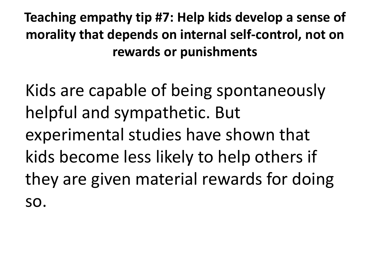**Teaching empathy tip #7: Help kids develop a sense of morality that depends on internal self-control, not on rewards or punishments** 

Kids are capable of being spontaneously helpful and sympathetic. But experimental studies have shown that kids become less likely to help others if they are given material rewards for doing so.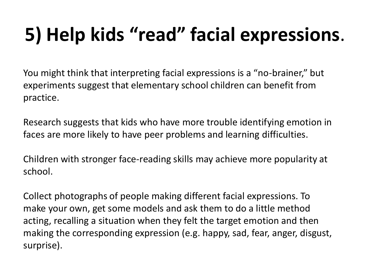#### **5) Help kids "read" facial expressions**.

You might think that interpreting facial expressions is a "no-brainer," but experiments suggest that elementary school children can benefit from practice.

Research suggests that kids who have more trouble identifying emotion in faces are more likely to have peer problems and learning difficulties.

Children with stronger face-reading skills may achieve more popularity at school.

Collect photographs of people making different facial expressions. To make your own, get some models and ask them to do a little method acting, recalling a situation when they felt the target emotion and then making the corresponding expression (e.g. happy, sad, fear, anger, disgust, surprise).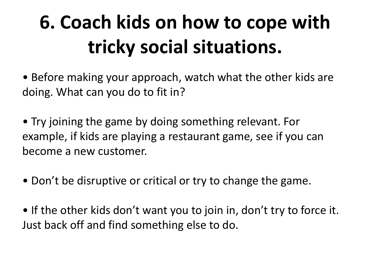#### **6. Coach kids on how to cope with tricky social situations.**

- Before making your approach, watch what the other kids are doing. What can you do to fit in?
- Try joining the game by doing something relevant. For example, if kids are playing a restaurant game, see if you can become a new customer.
- Don't be disruptive or critical or try to change the game.
- If the other kids don't want you to join in, don't try to force it. Just back off and find something else to do.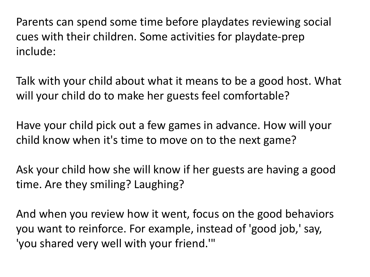Parents can spend some time before playdates reviewing social cues with their children. Some activities for playdate-prep include:

Talk with your child about what it means to be a good host. What will your child do to make her guests feel comfortable?

Have your child pick out a few games in advance. How will your child know when it's time to move on to the next game?

Ask your child how she will know if her guests are having a good time. Are they smiling? Laughing?

And when you review how it went, focus on the good behaviors you want to reinforce. For example, instead of 'good job,' say, 'you shared very well with your friend.'"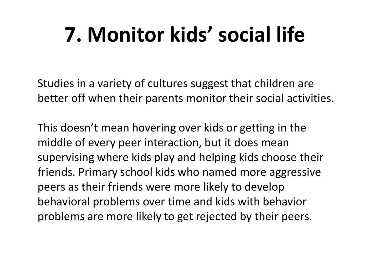# **7. Monitor kids' social life**

Studies in a variety of cultures suggest that children are better off when their parents monitor their social activities.

This doesn't mean hovering over kids or getting in the middle of every peer interaction, but it does mean supervising where kids play and helping kids choose their friends. Primary school kids who named more aggressive peers as their friends were more likely to develop behavioral problems over time and kids with behavior problems are more likely to get rejected by their peers.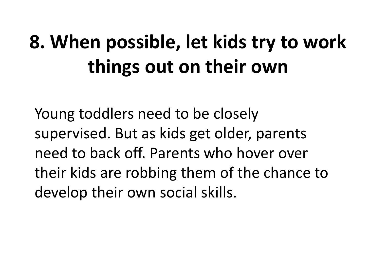#### **8. When possible, let kids try to work things out on their own**

Young toddlers need to be closely supervised. But as kids get older, parents need to back off. Parents who hover over their kids are robbing them of the chance to develop their own social skills.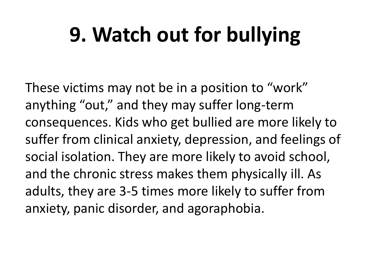## **9. Watch out for bullying**

These victims may not be in a position to "work" anything "out," and they may suffer long-term consequences. Kids who get bullied are more likely to suffer from clinical anxiety, depression, and feelings of social isolation. They are more likely to avoid school, and the chronic stress makes them physically ill. As adults, they are 3-5 times more likely to suffer from anxiety, panic disorder, and agoraphobia.